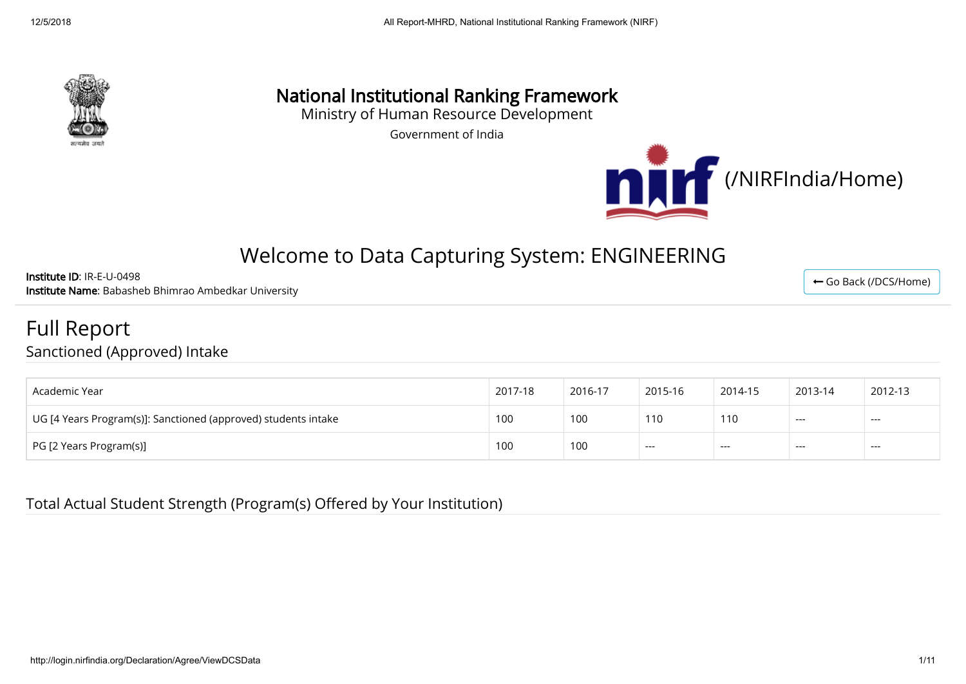

## National Institutional Ranking Framework

Ministry of Human Resource Development

Government of India



# Welcome to Data Capturing System: ENGINEERING

Institute ID: IR-E-U-0498 Institute Name: Babasheb Bhimrao Ambedkar University

Full Report

Sanctioned (Approved) Intake

| Academic Year                                                  | 2017-18 | 2016-17 | 2015-16 | 2014-15 | 2013-14 | 2012-13 |
|----------------------------------------------------------------|---------|---------|---------|---------|---------|---------|
| UG [4 Years Program(s)]: Sanctioned (approved) students intake | 100     | 100     | 110     | 110     | $---$   | $---$   |
| PG [2 Years Program(s)]                                        | 100     | 100     | $---$   | $---$   | ---     | $--$    |

Total Actual Student Strength (Program(s) Offered by Your Institution)

← [Go Back \(/DCS/Home\)](http://login.nirfindia.org/DCS/Home)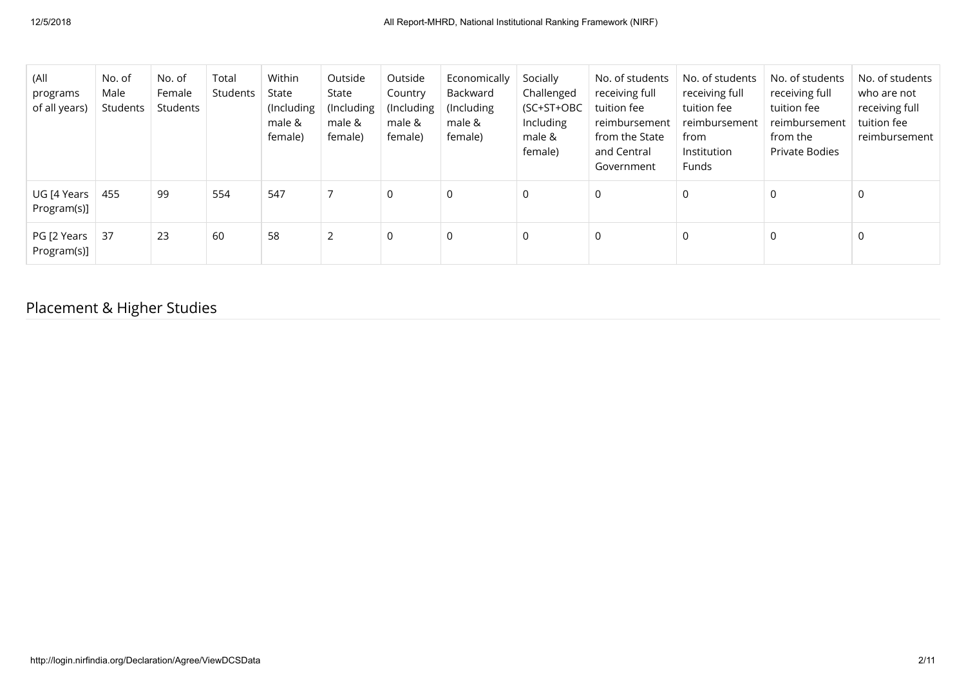| (All<br>programs<br>of all years) | No. of<br>Male<br>Students | No. of<br>Female<br>Students | Total<br>Students | Within<br>State<br>(Including<br>male &<br>female) | Outside<br>State<br>(Including<br>male &<br>female) | Outside<br>Country<br>(Including<br>male &<br>female) | Economically<br>Backward<br>(Including)<br>male &<br>female) | Socially<br>Challenged<br>(SC+ST+OBC<br>Including<br>male &<br>female) | No. of students<br>receiving full<br>tuition fee<br>reimbursement<br>from the State<br>and Central<br>Government | No. of students<br>receiving full<br>tuition fee<br>reimbursement<br>from<br>Institution<br><b>Funds</b> | No. of students<br>receiving full<br>tuition fee<br>reimbursement<br>from the<br><b>Private Bodies</b> | No. of students<br>who are not<br>receiving full<br>tuition fee<br>reimbursement |
|-----------------------------------|----------------------------|------------------------------|-------------------|----------------------------------------------------|-----------------------------------------------------|-------------------------------------------------------|--------------------------------------------------------------|------------------------------------------------------------------------|------------------------------------------------------------------------------------------------------------------|----------------------------------------------------------------------------------------------------------|--------------------------------------------------------------------------------------------------------|----------------------------------------------------------------------------------|
| UG [4 Years<br>Program(s)]        | 455                        | 99                           | 554               | 547                                                | $\overline{7}$                                      | $\mathbf 0$                                           | 0                                                            | 0                                                                      | 0                                                                                                                | 0                                                                                                        | 0                                                                                                      | 0                                                                                |
| PG [2 Years<br>Program(s)]        | 37                         | 23                           | 60                | 58                                                 | 2                                                   | $\mathbf 0$                                           | 0                                                            | 0                                                                      | 0                                                                                                                | $\mathbf 0$                                                                                              | 0                                                                                                      | 0                                                                                |

## Placement & Higher Studies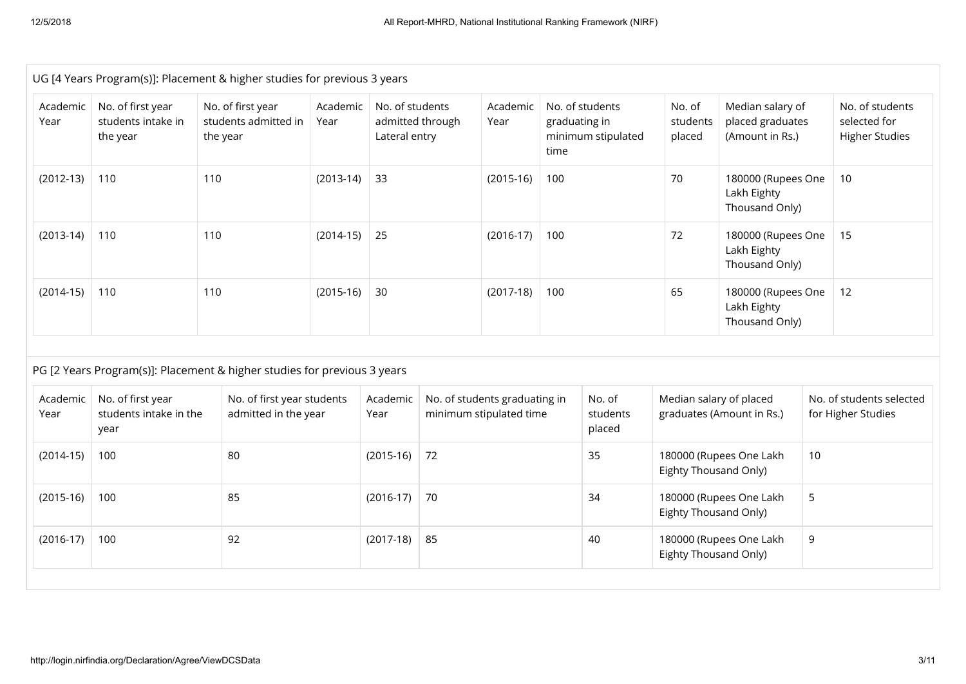|                  | UG [4 Years Program(s)]: Placement & higher studies for previous 3 years |                                                       |                                                    |                  |                                                      |    |                                                          |      |                                                        |                                                           |                                                         |   |                                                          |
|------------------|--------------------------------------------------------------------------|-------------------------------------------------------|----------------------------------------------------|------------------|------------------------------------------------------|----|----------------------------------------------------------|------|--------------------------------------------------------|-----------------------------------------------------------|---------------------------------------------------------|---|----------------------------------------------------------|
| Academic<br>Year | No. of first year<br>students intake in<br>the year                      | No. of first year<br>students admitted in<br>the year |                                                    | Academic<br>Year | No. of students<br>admitted through<br>Lateral entry |    | Academic<br>Year                                         | time | No. of students<br>graduating in<br>minimum stipulated | No. of<br>students<br>placed                              | Median salary of<br>placed graduates<br>(Amount in Rs.) |   | No. of students<br>selected for<br><b>Higher Studies</b> |
| $(2012-13)$      | 110                                                                      | 110                                                   |                                                    | $(2013-14)$      | 33                                                   |    | $(2015-16)$                                              | 100  |                                                        | 70                                                        | 180000 (Rupees One<br>Lakh Eighty<br>Thousand Only)     |   | 10                                                       |
| $(2013-14)$      | 110                                                                      | 110                                                   |                                                    | $(2014-15)$      | 25                                                   |    | $(2016-17)$                                              | 100  |                                                        | 72<br>180000 (Rupees One<br>Lakh Eighty<br>Thousand Only) |                                                         |   | 15                                                       |
| $(2014-15)$      | 110                                                                      | 110                                                   |                                                    | $(2015-16)$      | 30                                                   |    | $(2017-18)$                                              | 100  |                                                        | 65                                                        | 180000 (Rupees One<br>Lakh Eighty<br>Thousand Only)     |   | 12                                                       |
|                  | PG [2 Years Program(s)]: Placement & higher studies for previous 3 years |                                                       |                                                    |                  |                                                      |    |                                                          |      |                                                        |                                                           |                                                         |   |                                                          |
| Academic<br>Year | No. of first year<br>students intake in the<br>year                      |                                                       | No. of first year students<br>admitted in the year |                  | Academic<br>Year                                     |    | No. of students graduating in<br>minimum stipulated time |      | No. of<br>students<br>placed                           | Median salary of placed                                   | graduates (Amount in Rs.)                               |   | No. of students selected<br>for Higher Studies           |
| $(2014-15)$      | 100                                                                      | 80                                                    |                                                    |                  | $(2015-16)$                                          | 72 | 35<br>180000 (Rupees One Lakh<br>Eighty Thousand Only)   |      | 10                                                     |                                                           |                                                         |   |                                                          |
| $(2015-16)$      | 100                                                                      | 85                                                    |                                                    |                  | $(2016-17)$                                          | 70 |                                                          |      | 34                                                     | 180000 (Rupees One Lakh<br>Eighty Thousand Only)          |                                                         | 5 |                                                          |
| $(2016-17)$      | 100                                                                      | 92                                                    |                                                    |                  | $(2017-18)$                                          | 85 |                                                          |      | 40                                                     |                                                           | 9<br>180000 (Rupees One Lakh<br>Eighty Thousand Only)   |   |                                                          |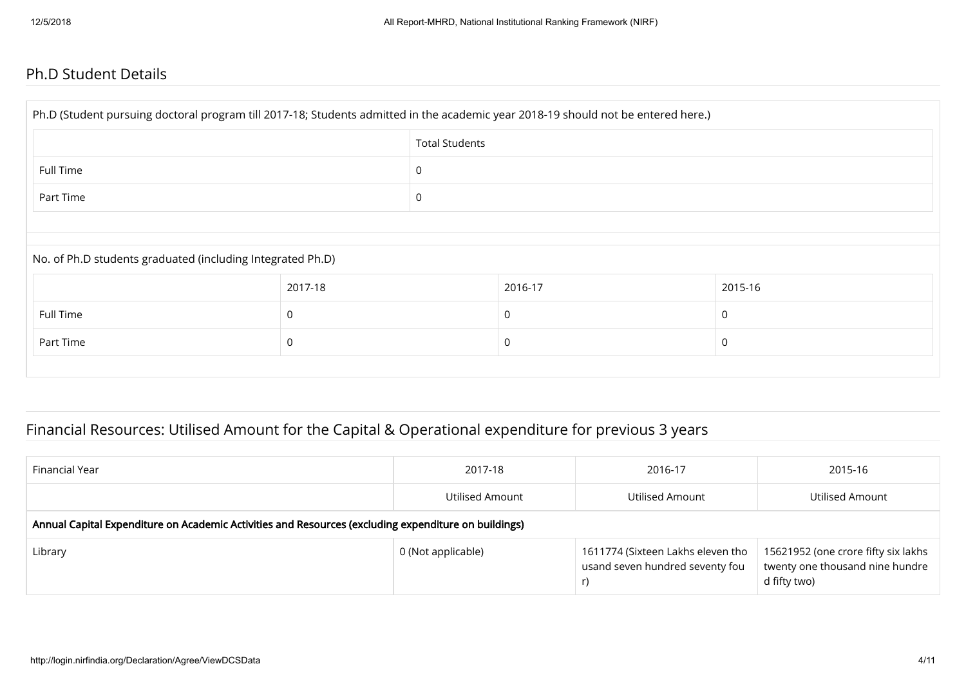#### Ph.D Student Details

| Ph.D (Student pursuing doctoral program till 2017-18; Students admitted in the academic year 2018-19 should not be entered here.) |         |                       |         |         |  |  |  |  |
|-----------------------------------------------------------------------------------------------------------------------------------|---------|-----------------------|---------|---------|--|--|--|--|
|                                                                                                                                   |         | <b>Total Students</b> |         |         |  |  |  |  |
| Full Time                                                                                                                         |         | 0                     |         |         |  |  |  |  |
| Part Time                                                                                                                         |         | $\mathbf 0$           |         |         |  |  |  |  |
|                                                                                                                                   |         |                       |         |         |  |  |  |  |
| No. of Ph.D students graduated (including Integrated Ph.D)                                                                        |         |                       |         |         |  |  |  |  |
|                                                                                                                                   | 2017-18 |                       | 2016-17 | 2015-16 |  |  |  |  |
| Full Time                                                                                                                         | 0       |                       | 0       | 0       |  |  |  |  |
| Part Time                                                                                                                         | 0       |                       | 0       | 0       |  |  |  |  |
|                                                                                                                                   |         |                       |         |         |  |  |  |  |

## Financial Resources: Utilised Amount for the Capital & Operational expenditure for previous 3 years

| Financial Year                                                                                       | 2017-18            | 2016-17                                                              | 2015-16                                                                                |  |  |  |  |  |
|------------------------------------------------------------------------------------------------------|--------------------|----------------------------------------------------------------------|----------------------------------------------------------------------------------------|--|--|--|--|--|
|                                                                                                      | Utilised Amount    | Utilised Amount                                                      | Utilised Amount                                                                        |  |  |  |  |  |
| Annual Capital Expenditure on Academic Activities and Resources (excluding expenditure on buildings) |                    |                                                                      |                                                                                        |  |  |  |  |  |
| Library                                                                                              | 0 (Not applicable) | 1611774 (Sixteen Lakhs eleven tho<br>usand seven hundred seventy fou | 15621952 (one crore fifty six lakhs<br>twenty one thousand nine hundre<br>d fifty two) |  |  |  |  |  |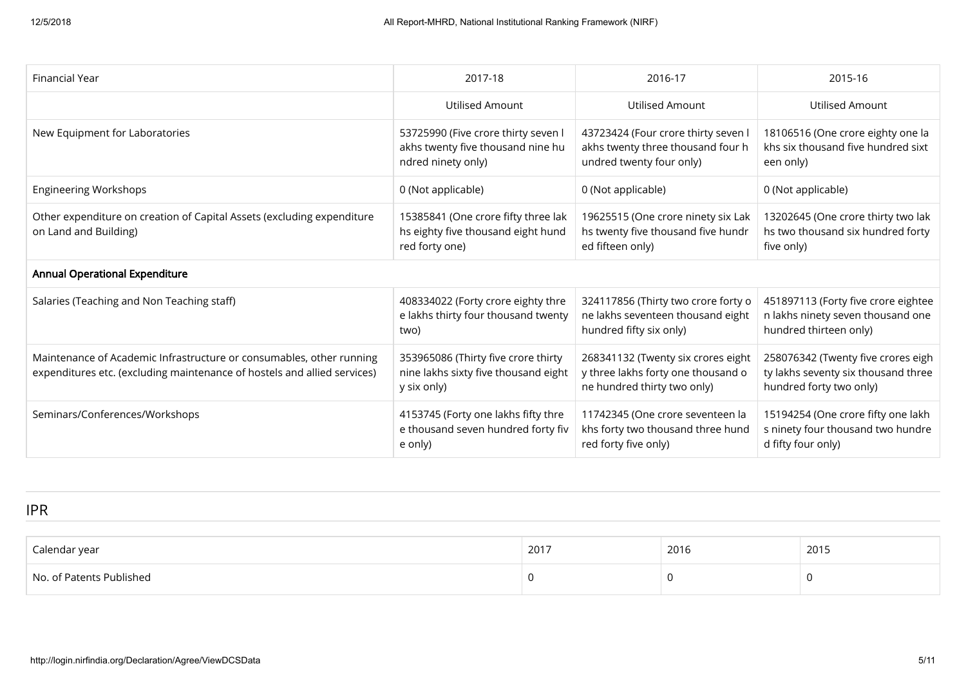| Financial Year                                                                                                                                   | 2017-18                                                                                        | 2016-17                                                                                                 | 2015-16                                                                                              |
|--------------------------------------------------------------------------------------------------------------------------------------------------|------------------------------------------------------------------------------------------------|---------------------------------------------------------------------------------------------------------|------------------------------------------------------------------------------------------------------|
|                                                                                                                                                  | <b>Utilised Amount</b>                                                                         | Utilised Amount                                                                                         | <b>Utilised Amount</b>                                                                               |
| New Equipment for Laboratories                                                                                                                   | 53725990 (Five crore thirty seven l<br>akhs twenty five thousand nine hu<br>ndred ninety only) | 43723424 (Four crore thirty seven I<br>akhs twenty three thousand four h<br>undred twenty four only)    | 18106516 (One crore eighty one la<br>khs six thousand five hundred sixt<br>een only)                 |
| <b>Engineering Workshops</b>                                                                                                                     | 0 (Not applicable)                                                                             | 0 (Not applicable)                                                                                      | 0 (Not applicable)                                                                                   |
| Other expenditure on creation of Capital Assets (excluding expenditure<br>on Land and Building)                                                  | 15385841 (One crore fifty three lak<br>hs eighty five thousand eight hund<br>red forty one)    | 19625515 (One crore ninety six Lak<br>hs twenty five thousand five hundr<br>ed fifteen only)            | 13202645 (One crore thirty two lak<br>hs two thousand six hundred forty<br>five only)                |
| <b>Annual Operational Expenditure</b>                                                                                                            |                                                                                                |                                                                                                         |                                                                                                      |
| Salaries (Teaching and Non Teaching staff)                                                                                                       | 408334022 (Forty crore eighty thre<br>e lakhs thirty four thousand twenty<br>two)              | 324117856 (Thirty two crore forty o<br>ne lakhs seventeen thousand eight<br>hundred fifty six only)     | 451897113 (Forty five crore eightee<br>n lakhs ninety seven thousand one<br>hundred thirteen only)   |
| Maintenance of Academic Infrastructure or consumables, other running<br>expenditures etc. (excluding maintenance of hostels and allied services) | 353965086 (Thirty five crore thirty<br>nine lakhs sixty five thousand eight<br>y six only)     | 268341132 (Twenty six crores eight<br>y three lakhs forty one thousand o<br>ne hundred thirty two only) | 258076342 (Twenty five crores eigh<br>ty lakhs seventy six thousand three<br>hundred forty two only) |
| Seminars/Conferences/Workshops                                                                                                                   | 4153745 (Forty one lakhs fifty thre<br>e thousand seven hundred forty fiv<br>e only)           | 11742345 (One crore seventeen la<br>khs forty two thousand three hund<br>red forty five only)           | 15194254 (One crore fifty one lakh<br>s ninety four thousand two hundre<br>d fifty four only)        |

IPR

| Calendar year            | 2017 | 2016 | 2015 |
|--------------------------|------|------|------|
| No. of Patents Published |      |      | U    |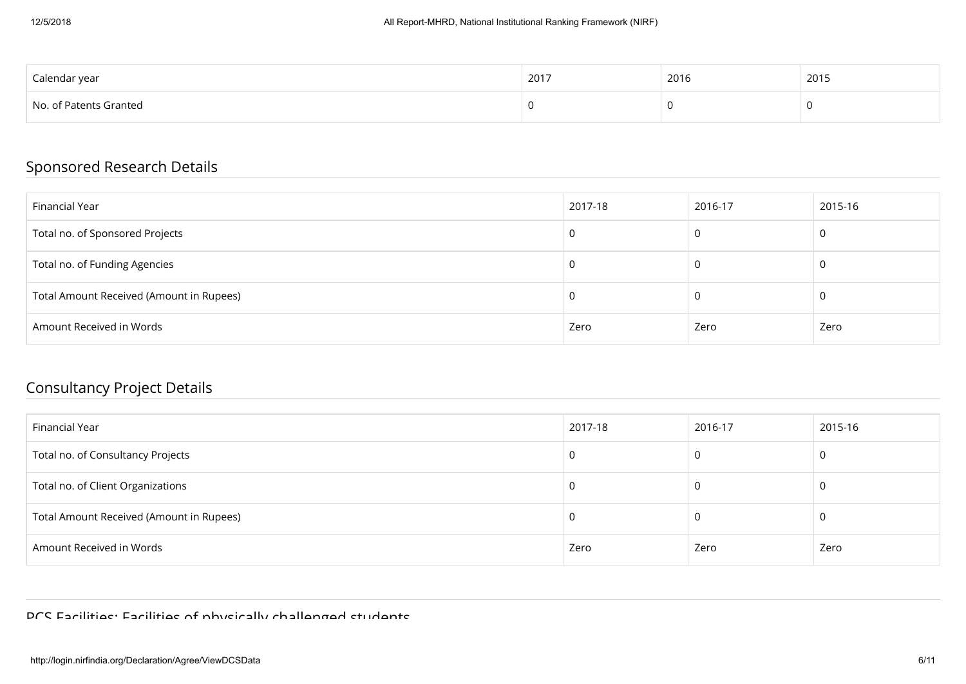| Calendar year          | 2017<br>2011 | 2016 | 2015 |
|------------------------|--------------|------|------|
| No. of Patents Granted |              |      |      |

### Sponsored Research Details

| Financial Year                           | 2017-18 | 2016-17 | 2015-16 |
|------------------------------------------|---------|---------|---------|
| Total no. of Sponsored Projects          | U       |         | u       |
| Total no. of Funding Agencies            | -U      |         |         |
| Total Amount Received (Amount in Rupees) | -U      |         | u       |
| Amount Received in Words                 | Zero    | Zero    | Zero    |

#### Consultancy Project Details

| Financial Year                           | 2017-18 | 2016-17 | 2015-16 |
|------------------------------------------|---------|---------|---------|
| Total no. of Consultancy Projects        | -C      |         |         |
| Total no. of Client Organizations        | -U      |         | u       |
| Total Amount Received (Amount in Rupees) | U       |         | u       |
| Amount Received in Words                 | Zero    | Zero    | Zero    |

PCS Facilities: Facilities of physically challenged students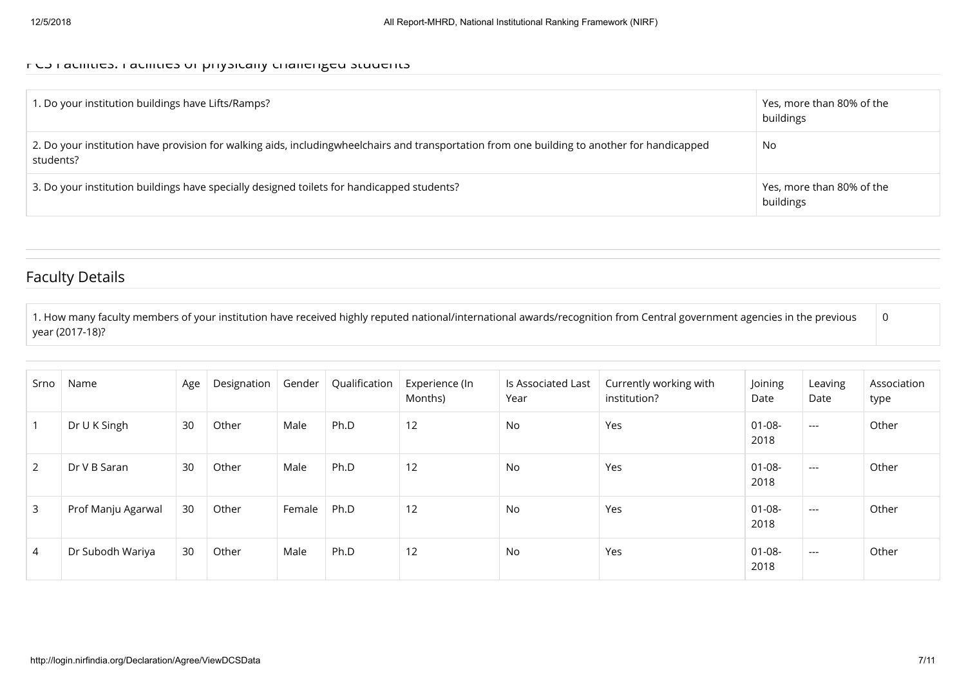#### PCS Facilities: Facilities of physically challenged students

| 1. Do your institution buildings have Lifts/Ramps?                                                                                                        | Yes, more than 80% of the<br>buildings |
|-----------------------------------------------------------------------------------------------------------------------------------------------------------|----------------------------------------|
| 2. Do your institution have provision for walking aids, includingwheelchairs and transportation from one building to another for handicapped<br>students? | No                                     |
| 3. Do your institution buildings have specially designed toilets for handicapped students?                                                                | Yes, more than 80% of the<br>buildings |

#### Faculty Details

1. How many faculty members of your institution have received highly reputed national/international awards/recognition from Central government agencies in the previous year (2017-18)? 0

| Srno           | Name               | Age | Designation | Gender | Qualification | Experience (In<br>Months) | Is Associated Last<br>Year | Currently working with<br>institution? | Joining<br>Date     | Leaving<br>Date | Association<br>type |
|----------------|--------------------|-----|-------------|--------|---------------|---------------------------|----------------------------|----------------------------------------|---------------------|-----------------|---------------------|
|                | Dr U K Singh       | 30  | Other       | Male   | Ph.D          | 12                        | No                         | Yes                                    | $01 - 08 -$<br>2018 | $---$           | Other               |
| $\overline{2}$ | Dr V B Saran       | 30  | Other       | Male   | Ph.D          | 12                        | No                         | Yes                                    | $01 - 08 -$<br>2018 | $\cdots$        | Other               |
| 3              | Prof Manju Agarwal | 30  | Other       | Female | Ph.D          | 12                        | No                         | Yes                                    | $01 - 08 -$<br>2018 | $---$           | Other               |
| $\overline{4}$ | Dr Subodh Wariya   | 30  | Other       | Male   | Ph.D          | 12                        | No                         | Yes                                    | 01-08-<br>2018      | $---$           | Other               |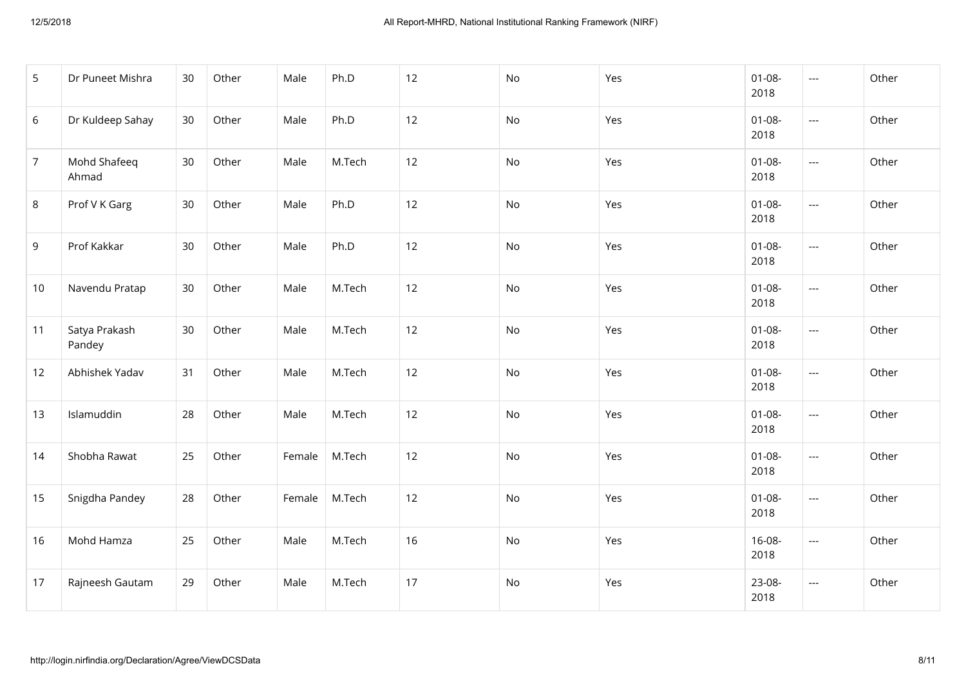| 5              | Dr Puneet Mishra        | 30 | Other | Male   | Ph.D   | 12 | No | Yes | $01 - 08 -$<br>2018 | $\hspace{0.05cm} \ldots$ | Other |
|----------------|-------------------------|----|-------|--------|--------|----|----|-----|---------------------|--------------------------|-------|
| 6              | Dr Kuldeep Sahay        | 30 | Other | Male   | Ph.D   | 12 | No | Yes | $01 - 08 -$<br>2018 | $\hspace{0.05cm} \ldots$ | Other |
| $\overline{7}$ | Mohd Shafeeq<br>Ahmad   | 30 | Other | Male   | M.Tech | 12 | No | Yes | $01 - 08 -$<br>2018 | $\hspace{0.05cm} \ldots$ | Other |
| 8              | Prof V K Garg           | 30 | Other | Male   | Ph.D   | 12 | No | Yes | $01 - 08 -$<br>2018 | $\overline{\phantom{a}}$ | Other |
| $9\,$          | Prof Kakkar             | 30 | Other | Male   | Ph.D   | 12 | No | Yes | $01 - 08 -$<br>2018 | $\hspace{0.05cm} \ldots$ | Other |
| 10             | Navendu Pratap          | 30 | Other | Male   | M.Tech | 12 | No | Yes | $01 - 08 -$<br>2018 | $\hspace{0.05cm} \ldots$ | Other |
| 11             | Satya Prakash<br>Pandey | 30 | Other | Male   | M.Tech | 12 | No | Yes | $01 - 08 -$<br>2018 | $\hspace{0.05cm} \ldots$ | Other |
| 12             | Abhishek Yadav          | 31 | Other | Male   | M.Tech | 12 | No | Yes | $01 - 08 -$<br>2018 | $\hspace{0.05cm} \ldots$ | Other |
| 13             | Islamuddin              | 28 | Other | Male   | M.Tech | 12 | No | Yes | $01 - 08 -$<br>2018 | $\overline{\phantom{a}}$ | Other |
| 14             | Shobha Rawat            | 25 | Other | Female | M.Tech | 12 | No | Yes | $01 - 08 -$<br>2018 | $\hspace{0.05cm} \ldots$ | Other |
| 15             | Snigdha Pandey          | 28 | Other | Female | M.Tech | 12 | No | Yes | $01 - 08 -$<br>2018 | $\hspace{0.05cm} \ldots$ | Other |
| 16             | Mohd Hamza              | 25 | Other | Male   | M.Tech | 16 | No | Yes | $16 - 08 -$<br>2018 | $\hspace{0.05cm} \ldots$ | Other |
| 17             | Rajneesh Gautam         | 29 | Other | Male   | M.Tech | 17 | No | Yes | 23-08-<br>2018      | $\hspace{0.05cm} \ldots$ | Other |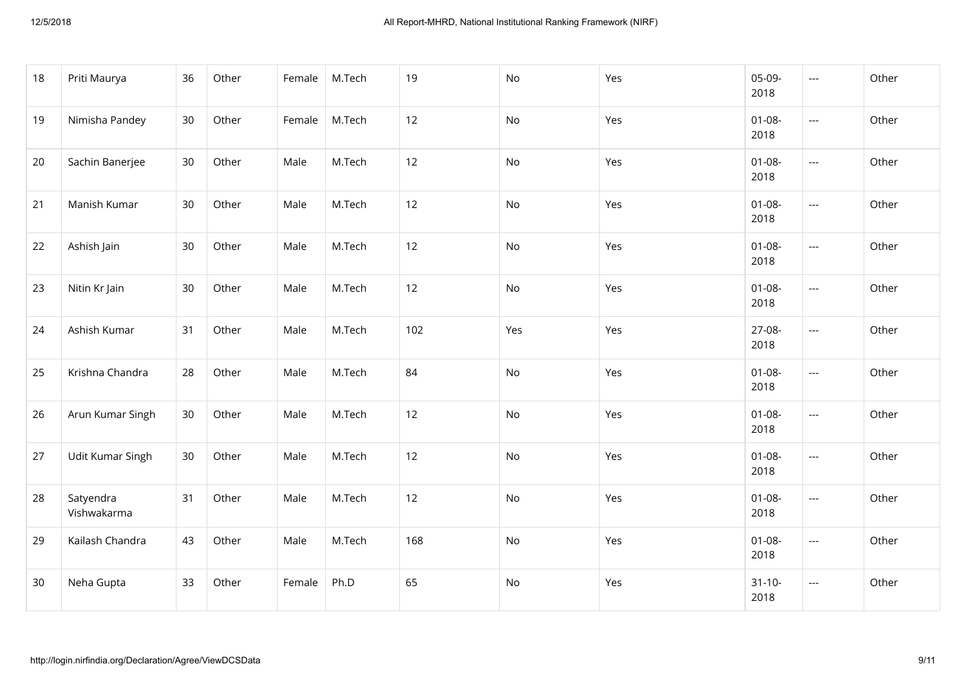| 18 | Priti Maurya             | 36 | Other | Female | M.Tech | 19  | No  | Yes | 05-09-<br>2018      | $\scriptstyle\cdots$     | Other |
|----|--------------------------|----|-------|--------|--------|-----|-----|-----|---------------------|--------------------------|-------|
| 19 | Nimisha Pandey           | 30 | Other | Female | M.Tech | 12  | No  | Yes | $01 - 08 -$<br>2018 | $\hspace{0.05cm} \ldots$ | Other |
| 20 | Sachin Banerjee          | 30 | Other | Male   | M.Tech | 12  | No  | Yes | $01 - 08 -$<br>2018 | $\hspace{0.05cm} \ldots$ | Other |
| 21 | Manish Kumar             | 30 | Other | Male   | M.Tech | 12  | No  | Yes | $01 - 08 -$<br>2018 | $\overline{\phantom{a}}$ | Other |
| 22 | Ashish Jain              | 30 | Other | Male   | M.Tech | 12  | No  | Yes | $01 - 08 -$<br>2018 | $\overline{\phantom{a}}$ | Other |
| 23 | Nitin Kr Jain            | 30 | Other | Male   | M.Tech | 12  | No  | Yes | $01 - 08 -$<br>2018 | $\hspace{0.05cm} \ldots$ | Other |
| 24 | Ashish Kumar             | 31 | Other | Male   | M.Tech | 102 | Yes | Yes | 27-08-<br>2018      | $\scriptstyle\cdots$     | Other |
| 25 | Krishna Chandra          | 28 | Other | Male   | M.Tech | 84  | No  | Yes | $01 - 08 -$<br>2018 | ---                      | Other |
| 26 | Arun Kumar Singh         | 30 | Other | Male   | M.Tech | 12  | No  | Yes | $01 - 08 -$<br>2018 | $\overline{\phantom{a}}$ | Other |
| 27 | Udit Kumar Singh         | 30 | Other | Male   | M.Tech | 12  | No  | Yes | $01 - 08 -$<br>2018 | $\hspace{0.05cm} \ldots$ | Other |
| 28 | Satyendra<br>Vishwakarma | 31 | Other | Male   | M.Tech | 12  | No  | Yes | $01 - 08 -$<br>2018 | $\hspace{0.05cm} \ldots$ | Other |
| 29 | Kailash Chandra          | 43 | Other | Male   | M.Tech | 168 | No  | Yes | $01 - 08 -$<br>2018 | $\hspace{0.05cm} \ldots$ | Other |
| 30 | Neha Gupta               | 33 | Other | Female | Ph.D   | 65  | No  | Yes | $31 - 10 -$<br>2018 | $\scriptstyle\cdots$     | Other |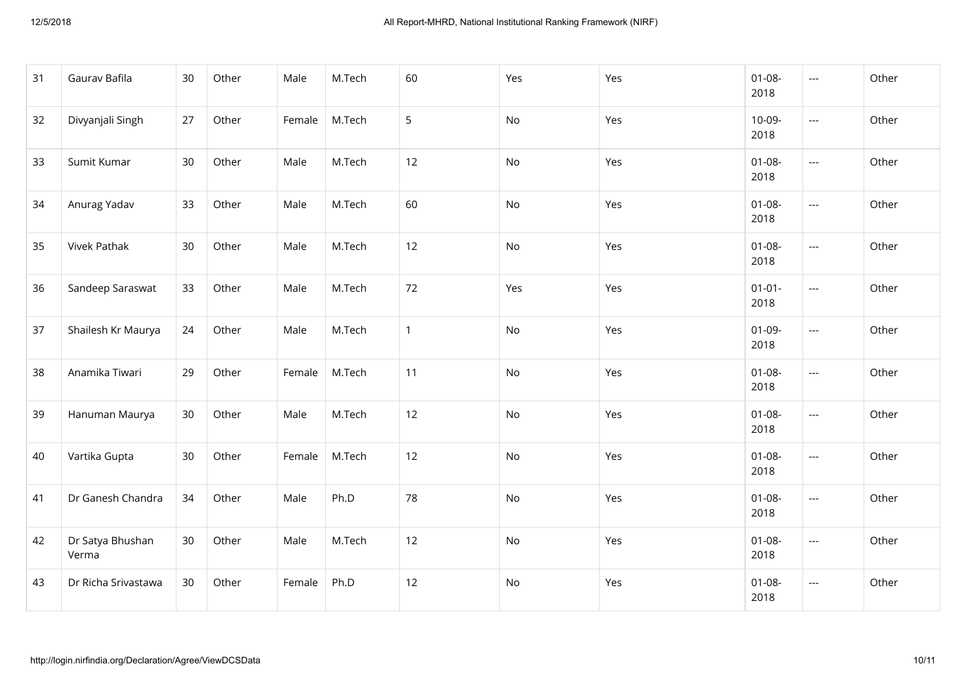| 31 | Gaurav Bafila             | 30 | Other | Male   | M.Tech | 60           | Yes | Yes | $01 - 08 -$<br>2018 | $\qquad \qquad -\qquad -$ | Other |
|----|---------------------------|----|-------|--------|--------|--------------|-----|-----|---------------------|---------------------------|-------|
| 32 | Divyanjali Singh          | 27 | Other | Female | M.Tech | 5            | No  | Yes | 10-09-<br>2018      | $\cdots$                  | Other |
| 33 | Sumit Kumar               | 30 | Other | Male   | M.Tech | 12           | No  | Yes | $01 - 08 -$<br>2018 | ---                       | Other |
| 34 | Anurag Yadav              | 33 | Other | Male   | M.Tech | 60           | No  | Yes | $01 - 08 -$<br>2018 | $\overline{\phantom{a}}$  | Other |
| 35 | Vivek Pathak              | 30 | Other | Male   | M.Tech | 12           | No  | Yes | $01 - 08 -$<br>2018 | $\overline{\phantom{a}}$  | Other |
| 36 | Sandeep Saraswat          | 33 | Other | Male   | M.Tech | 72           | Yes | Yes | $01 - 01 -$<br>2018 | $\hspace{0.05cm} \ldots$  | Other |
| 37 | Shailesh Kr Maurya        | 24 | Other | Male   | M.Tech | $\mathbf{1}$ | No  | Yes | $01-09-$<br>2018    | ---                       | Other |
| 38 | Anamika Tiwari            | 29 | Other | Female | M.Tech | 11           | No  | Yes | $01 - 08 -$<br>2018 | $\overline{a}$            | Other |
| 39 | Hanuman Maurya            | 30 | Other | Male   | M.Tech | 12           | No  | Yes | $01 - 08 -$<br>2018 | $\overline{\phantom{a}}$  | Other |
| 40 | Vartika Gupta             | 30 | Other | Female | M.Tech | 12           | No  | Yes | $01 - 08 -$<br>2018 | $\overline{\phantom{a}}$  | Other |
| 41 | Dr Ganesh Chandra         | 34 | Other | Male   | Ph.D   | 78           | No  | Yes | $01 - 08 -$<br>2018 | ---                       | Other |
| 42 | Dr Satya Bhushan<br>Verma | 30 | Other | Male   | M.Tech | 12           | No  | Yes | $01 - 08 -$<br>2018 | $\qquad \qquad - -$       | Other |
| 43 | Dr Richa Srivastawa       | 30 | Other | Female | Ph.D   | 12           | No  | Yes | $01 - 08 -$<br>2018 | $\hspace{0.05cm} \ldots$  | Other |